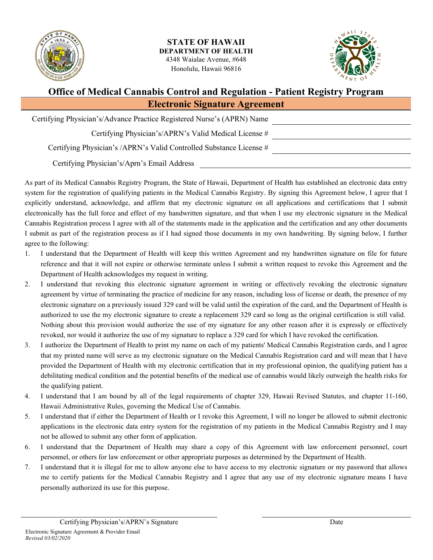



## **Office of Medical Cannabis Control and Regulation - Patient Registry Program Electronic Signature Agreement**

| Certifying Physician's/Advance Practice Registered Nurse's (APRN) Name |  |
|------------------------------------------------------------------------|--|
| Certifying Physician's/APRN's Valid Medical License #                  |  |
| Certifying Physician's /APRN's Valid Controlled Substance License #    |  |
| Certifying Physician's/Aprn's Email Address                            |  |

As part of its Medical Cannabis Registry Program, the State of Hawaii, Department of Health has established an electronic data entry system for the registration of qualifying patients in the Medical Cannabis Registry. By signing this Agreement below, I agree that I explicitly understand, acknowledge, and affirm that my electronic signature on all applications and certifications that I submit electronically has the full force and effect of my handwritten signature, and that when I use my electronic signature in the Medical Cannabis Registration process I agree with all of the statements made in the application and the certification and any other documents I submit as part of the registration process as if I had signed those documents in my own handwriting. By signing below, I further agree to the following:

- 1. I understand that the Department of Health will keep this written Agreement and my handwritten signature on file for future reference and that it will not expire or otherwise terminate unless I submit a written request to revoke this Agreement and the Department of Health acknowledges my request in writing.
- 2. I understand that revoking this electronic signature agreement in writing or effectively revoking the electronic signature agreement by virtue of terminating the practice of medicine for any reason, including loss of license or death, the presence of my electronic signature on a previously issued 329 card will be valid until the expiration of the card, and the Department of Health is authorized to use the my electronic signature to create a replacement 329 card so long as the original certification is still valid. Nothing about this provision would authorize the use of my signature for any other reason after it is expressly or effectively revoked, nor would it authorize the use of my signature to replace a 329 card for which I have revoked the certification.
- 3. I authorize the Department of Health to print my name on each of my patients' Medical Cannabis Registration cards, and I agree that my printed name will serve as my electronic signature on the Medical Cannabis Registration card and will mean that I have provided the Department of Health with my electronic certification that in my professional opinion, the qualifying patient has a debilitating medical condition and the potential benefits of the medical use of cannabis would likely outweigh the health risks for the qualifying patient.
- 4. I understand that I am bound by all of the legal requirements of chapter 329, Hawaii Revised Statutes, and chapter 11-160, Hawaii Administrative Rules, governing the Medical Use of Cannabis.
- 5. I understand that if either the Department of Health or I revoke this Agreement, I will no longer be allowed to submit electronic applications in the electronic data entry system for the registration of my patients in the Medical Cannabis Registry and I may not be allowed to submit any other form of application.
- 6. I understand that the Department of Health may share a copy of this Agreement with law enforcement personnel, court personnel, or others for law enforcement or other appropriate purposes as determined by the Department of Health.
- 7. I understand that it is illegal for me to allow anyone else to have access to my electronic signature or my password that allows me to certify patients for the Medical Cannabis Registry and I agree that any use of my electronic signature means I have personally authorized its use for this purpose.